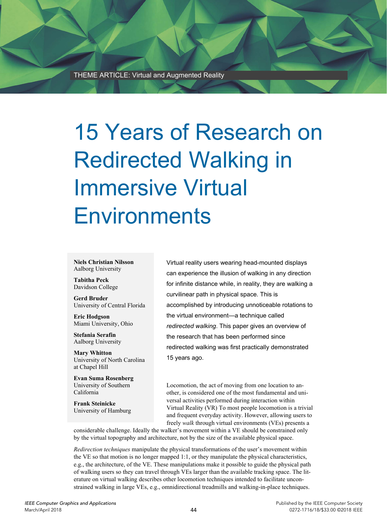THEME ARTICLE: Virtual and Augmented Reality

# 15 Years of Research on Redirected Walking in Immersive Virtual **Environments**

**Niels Christian Nilsson**  Aalborg University

**Tabitha Peck**  Davidson College

**Gerd Bruder**  University of Central Florida

**Eric Hodgson**  Miami University, Ohio

**Stefania Serafin**  Aalborg University

**Mary Whitton**  University of North Carolina at Chapel Hill

**Evan Suma Rosenberg**  University of Southern California

**Frank Steinicke**  University of Hamburg Virtual reality users wearing head-mounted displays can experience the illusion of walking in any direction for infinite distance while, in reality, they are walking a curvilinear path in physical space. This is accomplished by introducing unnoticeable rotations to the virtual environment—a technique called *redirected walking*. This paper gives an overview of the research that has been performed since redirected walking was first practically demonstrated 15 years ago.

Locomotion, the act of moving from one location to another, is considered one of the most fundamental and universal activities performed during interaction within Virtual Reality (VR) To most people locomotion is a trivial and frequent everyday activity. However, allowing users to freely *walk* through virtual environments (VEs) presents a

considerable challenge. Ideally the walker's movement within a VE should be constrained only by the virtual topography and architecture, not by the size of the available physical space.

*Redirection techniques* manipulate the physical transformations of the user's movement within the VE so that motion is no longer mapped 1:1, or they manipulate the physical characteristics, e.g., the architecture, of the VE. These manipulations make it possible to guide the physical path of walking users so they can travel through VEs larger than the available tracking space. The literature on virtual walking describes other locomotion techniques intended to facilitate unconstrained walking in large VEs, e.g., omnidirectional treadmills and walking-in-place techniques.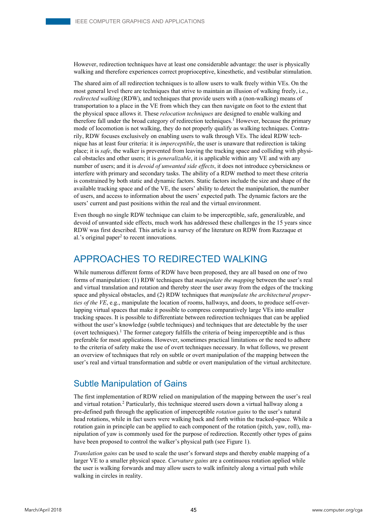However, redirection techniques have at least one considerable advantage: the user is physically walking and therefore experiences correct proprioceptive, kinesthetic, and vestibular stimulation.

The shared aim of all redirection techniques is to allow users to walk freely within VEs. On the most general level there are techniques that strive to maintain an illusion of walking freely, i.e., *redirected walking* (RDW), and techniques that provide users with a (non-walking) means of transportation to a place in the VE from which they can then navigate on foot to the extent that the physical space allows it. These *relocation techniques* are designed to enable walking and therefore fall under the broad category of redirection techniques.<sup>1</sup> However, because the primary mode of locomotion is not walking, they do not properly qualify as walking techniques. Contrarily, RDW focuses exclusively on enabling users to walk through VEs. The ideal RDW technique has at least four criteria: it is *imperceptible*, the user is unaware that redirection is taking place; it is *safe*, the walker is prevented from leaving the tracking space and colliding with physical obstacles and other users; it is *generalizable*, it is applicable within any VE and with any number of users; and it is *devoid of unwanted side effects*, it does not introduce cybersickness or interfere with primary and secondary tasks. The ability of a RDW method to meet these criteria is constrained by both static and dynamic factors. Static factors include the size and shape of the available tracking space and of the VE, the users' ability to detect the manipulation, the number of users, and access to information about the users' expected path. The dynamic factors are the users' current and past positions within the real and the virtual environment.

Even though no single RDW technique can claim to be imperceptible, safe, generalizable, and devoid of unwanted side effects, much work has addressed these challenges in the 15 years since RDW was first described. This article is a survey of the literature on RDW from Razzaque et al.'s original paper<sup>2</sup> to recent innovations.

# APPROACHES TO REDIRECTED WALKING

While numerous different forms of RDW have been proposed, they are all based on one of two forms of manipulation: (1) RDW techniques that *manipulate the mapping* between the user's real and virtual translation and rotation and thereby steer the user away from the edges of the tracking space and physical obstacles, and (2) RDW techniques that *manipulate the architectural properties of the VE*, e.g., manipulate the location of rooms, hallways, and doors, to produce self-overlapping virtual spaces that make it possible to compress comparatively large VEs into smaller tracking spaces. It is possible to differentiate between redirection techniques that can be applied without the user's knowledge (subtle techniques) and techniques that are detectable by the user (overt techniques).1 The former category fulfills the criteria of being imperceptible and is thus preferable for most applications. However, sometimes practical limitations or the need to adhere to the criteria of safety make the use of overt techniques necessary. In what follows, we present an overview of techniques that rely on subtle or overt manipulation of the mapping between the user's real and virtual transformation and subtle or overt manipulation of the virtual architecture.

#### Subtle Manipulation of Gains

The first implementation of RDW relied on manipulation of the mapping between the user's real and virtual rotation.2 Particularly, this technique steered users down a virtual hallway along a pre-defined path through the application of imperceptible *rotation gains* to the user's natural head rotations, while in fact users were walking back and forth within the tracked-space. While a rotation gain in principle can be applied to each component of the rotation (pitch, yaw, roll), manipulation of yaw is commonly used for the purpose of redirection. Recently other types of gains have been proposed to control the walker's physical path (see Figure 1).

*Translation gains* can be used to scale the user's forward steps and thereby enable mapping of a larger VE to a smaller physical space. *Curvature gains* are a continuous rotation applied while the user is walking forwards and may allow users to walk infinitely along a virtual path while walking in circles in reality.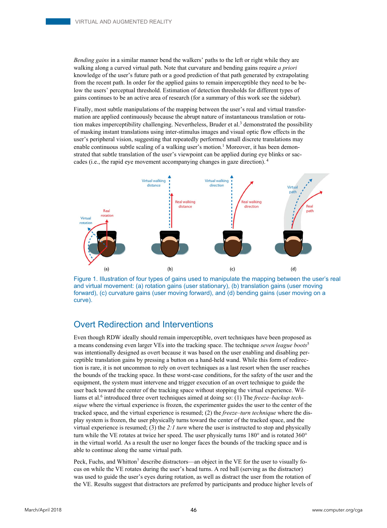*Bending gains* in a similar manner bend the walkers' paths to the left or right while they are walking along a curved virtual path. Note that curvature and bending gains require *a priori*  knowledge of the user's future path or a good prediction of that path generated by extrapolating from the recent path. In order for the applied gains to remain imperceptible they need to be below the users' perceptual threshold. Estimation of detection thresholds for different types of gains continues to be an active area of research (for a summary of this work see the sidebar).

Finally, most subtle manipulations of the mapping between the user's real and virtual transformation are applied continuously because the abrupt nature of instantaneous translation or rotation makes imperceptibility challenging. Nevertheless, Bruder et al.<sup>3</sup> demonstrated the possibility of masking instant translations using inter-stimulus images and visual optic flow effects in the user's peripheral vision, suggesting that repeatedly performed small discrete translations may enable continuous subtle scaling of a walking user's motion.<sup>1</sup> Moreover, it has been demonstrated that subtle translation of the user's viewpoint can be applied during eye blinks or saccades (i.e., the rapid eye movement accompanying changes in gaze direction). 4



Figure 1. Illustration of four types of gains used to manipulate the mapping between the user's real and virtual movement: (a) rotation gains (user stationary), (b) translation gains (user moving forward), (c) curvature gains (user moving forward), and (d) bending gains (user moving on a curve).

#### Overt Redirection and Interventions

Even though RDW ideally should remain imperceptible, overt techniques have been proposed as a means condensing even larger VEs into the tracking space. The technique *seven league boots*<sup>5</sup> was intentionally designed as overt because it was based on the user enabling and disabling perceptible translation gains by pressing a button on a hand-held wand. While this form of redirection is rare, it is not uncommon to rely on overt techniques as a last resort when the user reaches the bounds of the tracking space. In these worst-case conditions, for the safety of the user and the equipment, the system must intervene and trigger execution of an overt technique to guide the user back toward the center of the tracking space without stopping the virtual experience. Williams et al.<sup>6</sup> introduced three overt techniques aimed at doing so: (1) The *freeze-backup technique* where the virtual experience is frozen, the experimenter guides the user to the center of the tracked space, and the virtual experience is resumed; (2) the *freeze–turn technique* where the display system is frozen, the user physically turns toward the center of the tracked space, and the virtual experience is resumed; (3) the *2:1 turn* where the user is instructed to stop and physically turn while the VE rotates at twice her speed. The user physically turns 180° and is rotated 360° in the virtual world. As a result the user no longer faces the bounds of the tracking space and is able to continue along the same virtual path.

Peck, Fuchs, and Whitton<sup>7</sup> describe distractors—an object in the VE for the user to visually focus on while the VE rotates during the user's head turns. A red ball (serving as the distractor) was used to guide the user's eyes during rotation, as well as distract the user from the rotation of the VE. Results suggest that distractors are preferred by participants and produce higher levels of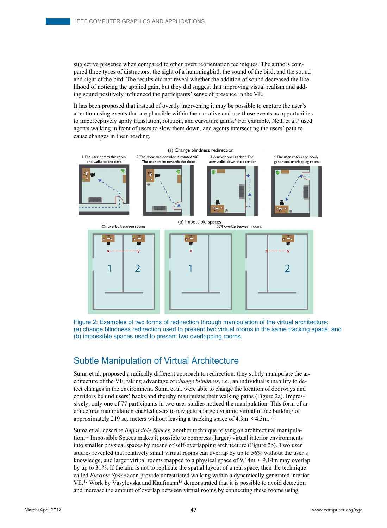subjective presence when compared to other overt reorientation techniques. The authors compared three types of distractors: the sight of a hummingbird, the sound of the bird, and the sound and sight of the bird. The results did not reveal whether the addition of sound decreased the likelihood of noticing the applied gain, but they did suggest that improving visual realism and adding sound positively influenced the participants' sense of presence in the VE.

It has been proposed that instead of overtly intervening it may be possible to capture the user's attention using events that are plausible within the narrative and use those events as opportunities to imperceptively apply translation, rotation, and curvature gains.<sup>8</sup> For example, Neth et al.<sup>9</sup> used agents walking in front of users to slow them down, and agents intersecting the users' path to cause changes in their heading.



Figure 2: Examples of two forms of redirection through manipulation of the virtual architecture: (a) change blindness redirection used to present two virtual rooms in the same tracking space, and (b) impossible spaces used to present two overlapping rooms.

#### Subtle Manipulation of Virtual Architecture

Suma et al. proposed a radically different approach to redirection: they subtly manipulate the architecture of the VE, taking advantage of *change blindness*, i.e., an individual's inability to detect changes in the environment. Suma et al. were able to change the location of doorways and corridors behind users' backs and thereby manipulate their walking paths (Figure 2a). Impressively, only one of 77 participants in two user studies noticed the manipulation. This form of architectural manipulation enabled users to navigate a large dynamic virtual office building of approximately 219 sq. meters without leaving a tracking space of  $4.3 \text{m} \times 4.3 \text{m}$ . <sup>10</sup>

Suma et al. describe *Impossible Spaces*, another technique relying on architectural manipulation.11 Impossible Spaces makes it possible to compress (larger) virtual interior environments into smaller physical spaces by means of self-overlapping architecture (Figure 2b). Two user studies revealed that relatively small virtual rooms can overlap by up to 56% without the user's knowledge, and larger virtual rooms mapped to a physical space of  $9.14m \times 9.14m$  may overlap by up to 31%. If the aim is not to replicate the spatial layout of a real space, then the technique called *Flexible Spaces* can provide unrestricted walking within a dynamically generated interior VE.<sup>12</sup> Work by Vasylevska and Kaufmann<sup>13</sup> demonstrated that it is possible to avoid detection and increase the amount of overlap between virtual rooms by connecting these rooms using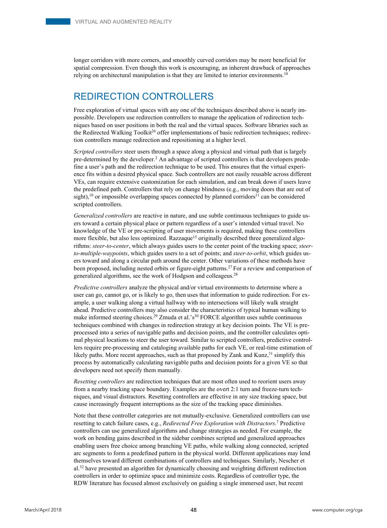longer corridors with more corners, and smoothly curved corridors may be more beneficial for spatial compression. Even though this work is encouraging, an inherent drawback of approaches relying on architectural manipulation is that they are limited to interior environments.<sup>10</sup>

# REDIRECTION CONTROLLERS

Free exploration of virtual spaces with any one of the techniques described above is nearly impossible. Developers use redirection controllers to manage the application of redirection techniques based on user positions in both the real and the virtual spaces. Software libraries such as the Redirected Walking Toolkit<sup>26</sup> offer implementations of basic redirection techniques; redirection controllers manage redirection and repositioning at a higher level.

*Scripted controllers* steer users through a space along a physical and virtual path that is largely pre-determined by the developer.2 An advantage of scripted controllers is that developers predefine a user's path and the redirection technique to be used. This ensures that the virtual experience fits within a desired physical space. Such controllers are not easily reusable across different VEs, can require extensive customization for each simulation, and can break down if users leave the predefined path. Controllers that rely on change blindness (e.g., moving doors that are out of sight),<sup>10</sup> or impossible overlapping spaces connected by planned corridors<sup>11</sup> can be considered scripted controllers.

*Generalized controllers* are reactive in nature, and use subtle continuous techniques to guide users toward a certain physical place or pattern regardless of a user's intended virtual travel. No knowledge of the VE or pre-scripting of user movements is required, making these controllers more flexible, but also less optimized. Razzaque<sup>15</sup> originally described three generalized algorithms: *steer-to-center*, which always guides users to the center point of the tracking space; *steerto-multiple-waypoints*, which guides users to a set of points; and *steer-to-orbit*, which guides users toward and along a circular path around the center. Other variations of these methods have been proposed, including nested orbits or figure-eight patterns.27 For a review and comparison of generalized algorithms, see the work of Hodgson and colleageus.28

*Predictive controllers* analyze the physical and/or virtual environments to determine where a user can go, cannot go, or is likely to go, then uses that information to guide redirection. For example, a user walking along a virtual hallway with no intersections will likely walk straight ahead. Predictive controllers may also consider the characteristics of typical human walking to make informed steering choices.<sup>29</sup> Zmuda et al.'s<sup>30</sup> FORCE algorithm uses subtle continuous techniques combined with changes in redirection strategy at key decision points. The VE is preprocessed into a series of navigable paths and decision points, and the controller calculates optimal physical locations to steer the user toward. Similar to scripted controllers, predictive controllers require pre-processing and cataloging available paths for each VE, or real-time estimation of likely paths. More recent approaches, such as that proposed by Zank and Kunz, $31$  simplify this process by automatically calculating navigable paths and decision points for a given VE so that developers need not specify them manually.

*Resetting controllers* are redirection techniques that are most often used to reorient users away from a nearby tracking space boundary. Examples are the overt 2:1 turn and freeze-turn techniques, and visual distractors. Resetting controllers are effective in any size tracking space, but cause increasingly frequent interruptions as the size of the tracking space diminishes.

Note that these controller categories are not mutually-exclusive. Generalized controllers can use resetting to catch failure cases, e.g., *Redirected Free Exploration with Distractors*. 7 Predictive controllers can use generalized algorithms and change strategies as needed. For example, the work on bending gains described in the sidebar combines scripted and generalized approaches enabling users free choice among branching VE paths, while walking along connected, scripted arc segments to form a predefined pattern in the physical world. Different applications may lend themselves toward different combinations of controllers and techniques. Similarly, Nescher et al.<sup>32</sup> have presented an algorithm for dynamically choosing and weighting different redirection controllers in order to optimize space and minimize costs. Regardless of controller type, the RDW literature has focused almost exclusively on guiding a single immersed user, but recent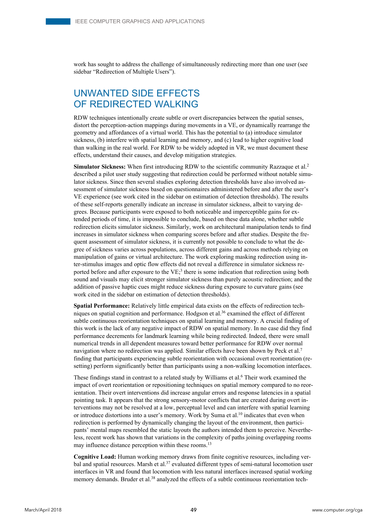work has sought to address the challenge of simultaneously redirecting more than one user (see sidebar "Redirection of Multiple Users").

# UNWANTED SIDE EFFECTS OF REDIRECTED WALKING

RDW techniques intentionally create subtle or overt discrepancies between the spatial senses, distort the perception-action mappings during movements in a VE, or dynamically rearrange the geometry and affordances of a virtual world. This has the potential to (a) introduce simulator sickness, (b) interfere with spatial learning and memory, and (c) lead to higher cognitive load than walking in the real world. For RDW to be widely adopted in VR, we must document these effects, understand their causes, and develop mitigation strategies.

**Simulator Sickness:** When first introducing RDW to the scientific community Razzaque et al.<sup>2</sup> described a pilot user study suggesting that redirection could be performed without notable simulator sickness. Since then several studies exploring detection thresholds have also involved assessment of simulator sickness based on questionnaires administered before and after the user's VE experience (see work cited in the sidebar on estimation of detection thresholds). The results of these self-reports generally indicate an increase in simulator sickness, albeit to varying degrees. Because participants were exposed to both noticeable and imperceptible gains for extended periods of time, it is impossible to conclude, based on these data alone, whether subtle redirection elicits simulator sickness. Similarly, work on architectural manipulation tends to find increases in simulator sickness when comparing scores before and after studies. Despite the frequent assessment of simulator sickness, it is currently not possible to conclude to what the degree of sickness varies across populations, across different gains and across methods relying on manipulation of gains or virtual architecture. The work exploring masking redirection using inter-stimulus images and optic flow effects did not reveal a difference in simulator sickness reported before and after exposure to the  $VE<sub>1</sub><sup>3</sup>$  there is some indication that redirection using both sound and visuals may elicit stronger simulator sickness than purely acoustic redirection; and the addition of passive haptic cues might reduce sickness during exposure to curvature gains (see work cited in the sidebar on estimation of detection thresholds).

**Spatial Performance:** Relatively little empirical data exists on the effects of redirection techniques on spatial cognition and performance. Hodgson et al.<sup>36</sup> examined the effect of different subtle continuous reorientation techniques on spatial learning and memory. A crucial finding of this work is the lack of any negative impact of RDW on spatial memory. In no case did they find performance decrements for landmark learning while being redirected. Indeed, there were small numerical trends in all dependent measures toward better performance for RDW over normal navigation where no redirection was applied. Similar effects have been shown by Peck et al.7 finding that participants experiencing subtle reorientation with occasional overt reorientation (resetting) perform significantly better than participants using a non-walking locomotion interfaces.

These findings stand in contrast to a related study by Williams et al.<sup>6</sup> Their work examined the impact of overt reorientation or repositioning techniques on spatial memory compared to no reorientation. Their overt interventions did increase angular errors and response latencies in a spatial pointing task. It appears that the strong sensory-motor conflicts that are created during overt interventions may not be resolved at a low, perceptual level and can interfere with spatial learning or introduce distortions into a user's memory. Work by Suma et al.<sup>10</sup> indicates that even when redirection is performed by dynamically changing the layout of the environment, then participants' mental maps resembled the static layouts the authors intended them to perceive. Nevertheless, recent work has shown that variations in the complexity of paths joining overlapping rooms may influence distance perception within these rooms.<sup>13</sup>

**Cognitive Load:** Human working memory draws from finite cognitive resources, including verbal and spatial resources. Marsh et al.<sup>37</sup> evaluated different types of semi-natural locomotion user interfaces in VR and found that locomotion with less natural interfaces increased spatial working memory demands. Bruder et al.<sup>38</sup> analyzed the effects of a subtle continuous reorientation tech-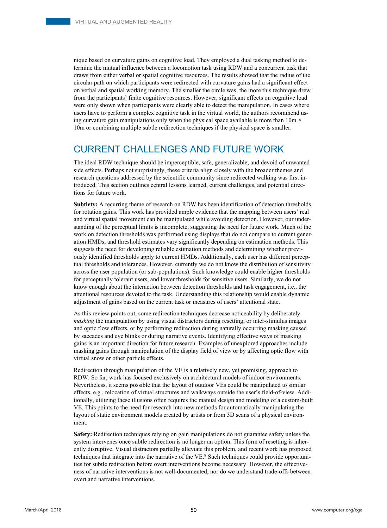nique based on curvature gains on cognitive load. They employed a dual tasking method to determine the mutual influence between a locomotion task using RDW and a concurrent task that draws from either verbal or spatial cognitive resources. The results showed that the radius of the circular path on which participants were redirected with curvature gains had a significant effect on verbal and spatial working memory. The smaller the circle was, the more this technique drew from the participants' finite cognitive resources. However, significant effects on cognitive load were only shown when participants were clearly able to detect the manipulation. In cases where users have to perform a complex cognitive task in the virtual world, the authors recommend using curvature gain manipulations only when the physical space available is more than 10m *×*  10m or combining multiple subtle redirection techniques if the physical space is smaller.

## CURRENT CHALLENGES AND FUTURE WORK

The ideal RDW technique should be imperceptible, safe, generalizable, and devoid of unwanted side effects. Perhaps not surprisingly, these criteria align closely with the broader themes and research questions addressed by the scientific community since redirected walking was first introduced. This section outlines central lessons learned, current challenges, and potential directions for future work.

**Subtlety:** A recurring theme of research on RDW has been identification of detection thresholds for rotation gains. This work has provided ample evidence that the mapping between users' real and virtual spatial movement can be manipulated while avoiding detection. However, our understanding of the perceptual limits is incomplete, suggesting the need for future work. Much of the work on detection thresholds was performed using displays that do not compare to current generation HMDs, and threshold estimates vary significantly depending on estimation methods. This suggests the need for developing reliable estimation methods and determining whether previously identified thresholds apply to current HMDs. Additionally, each user has different perceptual thresholds and tolerances. However, currently we do not know the distribution of sensitivity across the user population (or sub-populations). Such knowledge could enable higher thresholds for perceptually tolerant users, and lower thresholds for sensitive users. Similarly, we do not know enough about the interaction between detection thresholds and task engagement, i.e., the attentional resources devoted to the task. Understanding this relationship would enable dynamic adjustment of gains based on the current task or measures of users' attentional state.

As this review points out, some redirection techniques decrease noticeability by deliberately *masking* the manipulation by using visual distractors during resetting, or inter-stimulus images and optic flow effects, or by performing redirection during naturally occurring masking caused by saccades and eye blinks or during narrative events. Identifying effective ways of masking gains is an important direction for future research. Examples of unexplored approaches include masking gains through manipulation of the display field of view or by affecting optic flow with virtual snow or other particle effects.

Redirection through manipulation of the VE is a relatively new, yet promising, approach to RDW. So far, work has focused exclusively on architectural models of indoor environments. Nevertheless, it seems possible that the layout of outdoor VEs could be manipulated to similar effects, e.g., relocation of virtual structures and walkways outside the user's field-of-view. Additionally, utilizing these illusions often requires the manual design and modeling of a custom-built VE. This points to the need for research into new methods for automatically manipulating the layout of static environment models created by artists or from 3D scans of a physical environment.

**Safety:** Redirection techniques relying on gain manipulations do not guarantee safety unless the system intervenes once subtle redirection is no longer an option. This form of resetting is inherently disruptive. Visual distractors partially alleviate this problem, and recent work has proposed techniques that integrate into the narrative of the VE.<sup>8</sup> Such techniques could provide opportunities for subtle redirection before overt interventions become necessary. However, the effectiveness of narrative interventions is not well-documented, nor do we understand trade-offs between overt and narrative interventions.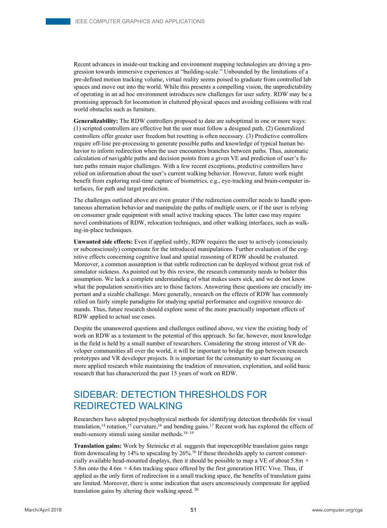Recent advances in inside-out tracking and environment mapping technologies are driving a progression towards immersive experiences at "building-scale." Unbounded by the limitations of a pre-defined motion tracking volume, virtual reality seems poised to graduate from controlled lab spaces and move out into the world. While this presents a compelling vision, the unpredictability of operating in an ad hoc environment introduces new challenges for user safety. RDW may be a promising approach for locomotion in cluttered physical spaces and avoiding collisions with real world obstacles such as furniture.

**Generalizability:** The RDW controllers proposed to date are suboptimal in one or more ways: (1) scripted controllers are effective but the user must follow a designed path. (2) Generalized controllers offer greater user freedom but resetting is often necessary. (3) Predictive controllers require off-line pre-processing to generate possible paths and knowledge of typical human behavior to inform redirection when the user encounters branches between paths. Thus, automatic calculation of navigable paths and decision points from a given VE and prediction of user's future paths remain major challenges. With a few recent exceptions, predictive controllers have relied on information about the user's current walking behavior. However, future work might benefit from exploring real-time capture of biometrics, e.g., eye-tracking and brain-computer interfaces, for path and target prediction.

The challenges outlined above are even greater if the redirection controller needs to handle spontaneous alternation behavior and manipulate the paths of multiple users, or if the user is relying on consumer grade equipment with small active tracking spaces. The latter case may require novel combinations of RDW, relocation techniques, and other walking interfaces, such as walking-in-place techniques.

**Unwanted side effects:** Even if applied subtly, RDW requires the user to actively (consciously or subconsciously) compensate for the introduced manipulations. Further evaluation of the cognitive effects concerning cognitive load and spatial reasoning of RDW should be evaluated. Moreover, a common assumption is that subtle redirection can be deployed without great risk of simulator sickness. As pointed out by this review, the research community needs to bolster this assumption. We lack a complete understanding of what makes users sick, and we do not know what the population sensitivities are to those factors. Answering these questions are crucially important and a sizable challenge. More generally, research on the effects of RDW has commonly relied on fairly simple paradigms for studying spatial performance and cognitive resource demands. Thus, future research should explore some of the more practically important effects of RDW applied to actual use cases.

Despite the unanswered questions and challenges outlined above, we view the existing body of work on RDW as a testament to the potential of this approach. So far, however, most knowledge in the field is held by a small number of researchers. Considering the strong interest of VR developer communities all over the world, it will be important to bridge the gap between research prototypes and VR developer projects. It is important for the community to start focusing on more applied research while maintaining the tradition of innovation, exploration, and solid basic research that has characterized the past 15 years of work on RDW.

## SIDEBAR: DETECTION THRESHOLDS FOR REDIRECTED WALKING

Researchers have adopted psychophysical methods for identifying detection thresholds for visual translation,<sup>14</sup> rotation,<sup>15</sup> curvature,<sup>16</sup> and bending gains.<sup>17</sup> Recent work has explored the effects of multi-sensory stimuli using similar methods.18–19

**Translation gains:** Work by Steinicke et al. suggests that imperceptible translation gains range from downscaling by 14% to upscaling by 26%.16 If these thresholds apply to current commercially available head-mounted displays, then it should be possible to map a VE of about 5.8m *×*  5.8m onto the 4.6m *×* 4.6m tracking space offered by the first generation HTC Vive. Thus, if applied as the only form of redirection in a small tracking space, the benefits of translation gains are limited. Moreover, there is some indication that users unconsciously compensate for applied translation gains by altering their walking speed. 20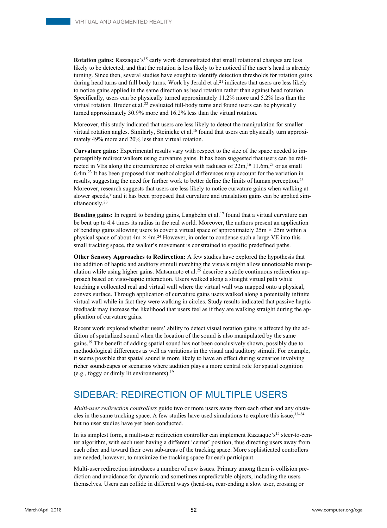**Rotation gains:** Razzaque's<sup>15</sup> early work demonstrated that small rotational changes are less likely to be detected, and that the rotation is less likely to be noticed if the user's head is already turning. Since then, several studies have sought to identify detection thresholds for rotation gains during head turns and full body turns. Work by Jerald et al.<sup>21</sup> indicates that users are less likely to notice gains applied in the same direction as head rotation rather than against head rotation. Specifically, users can be physically turned approximately 11.2% more and 5.2% less than the virtual rotation. Bruder et al.<sup>22</sup> evaluated full-body turns and found users can be physically turned approximately 30.9% more and 16.2% less than the virtual rotation.

Moreover, this study indicated that users are less likely to detect the manipulation for smaller virtual rotation angles. Similarly, Steinicke et al.<sup>16</sup> found that users can physically turn approximately 49% more and 20% less than virtual rotation.

**Curvature gains:** Experimental results vary with respect to the size of the space needed to imperceptibly redirect walkers using curvature gains. It has been suggested that users can be redirected in VEs along the circumference of circles with radiuses of 22m,<sup>16</sup> 11.6m,<sup>23</sup> or as small 6.4m.23 It has been proposed that methodological differences may account for the variation in results, suggesting the need for further work to better define the limits of human perception.<sup>23</sup> Moreover, research suggests that users are less likely to notice curvature gains when walking at slower speeds,<sup>9</sup> and it has been proposed that curvature and translation gains can be applied simultaneously.23

**Bending gains:** In regard to bending gains, Langbehn et al.<sup>17</sup> found that a virtual curvature can be bent up to 4.4 times its radius in the real world. Moreover, the authors present an application of bending gains allowing users to cover a virtual space of approximately 25m *×* 25m within a physical space of about  $4m \times 4m^{24}$  However, in order to condense such a large VE into this small tracking space, the walker's movement is constrained to specific predefined paths.

**Other Sensory Approaches to Redirection:** A few studies have explored the hypothesis that the addition of haptic and auditory stimuli matching the visuals might allow unnoticeable manipulation while using higher gains. Matsumoto et al.<sup>25</sup> describe a subtle continuous redirection approach based on visio-haptic interaction. Users walked along a straight virtual path while touching a collocated real and virtual wall where the virtual wall was mapped onto a physical, convex surface. Through application of curvature gains users walked along a potentially infinite virtual wall while in fact they were walking in circles. Study results indicated that passive haptic feedback may increase the likelihood that users feel as if they are walking straight during the application of curvature gains.

Recent work explored whether users' ability to detect visual rotation gains is affected by the addition of spatialized sound when the location of the sound is also manipulated by the same gains.19 The benefit of adding spatial sound has not been conclusively shown, possibly due to methodological differences as well as variations in the visual and auditory stimuli. For example, it seems possible that spatial sound is more likely to have an effect during scenarios involving richer soundscapes or scenarios where audition plays a more central role for spatial cognition (e.g., foggy or dimly lit environments).19

## SIDEBAR: REDIRECTION OF MULTIPLE USERS

*Multi-user redirection controllers* guide two or more users away from each other and any obstacles in the same tracking space. A few studies have used simulations to explore this issue,33–34 but no user studies have yet been conducted.

In its simplest form, a multi-user redirection controller can implement Razzaque's<sup>15</sup> steer-to-center algorithm, with each user having a different 'center' position, thus directing users away from each other and toward their own sub-areas of the tracking space. More sophisticated controllers are needed, however, to maximize the tracking space for each participant.

Multi-user redirection introduces a number of new issues. Primary among them is collision prediction and avoidance for dynamic and sometimes unpredictable objects, including the users themselves. Users can collide in different ways (head-on, rear-ending a slow user, crossing or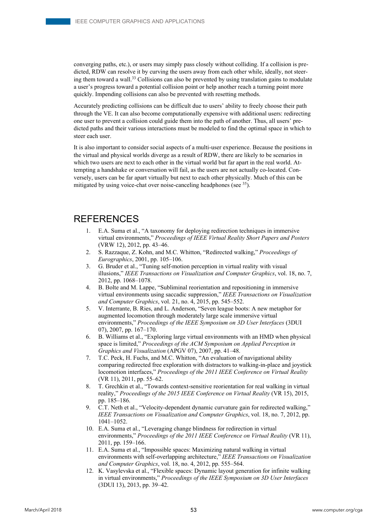converging paths, etc.), or users may simply pass closely without colliding. If a collision is predicted, RDW can resolve it by curving the users away from each other while, ideally, not steering them toward a wall.<sup>33</sup> Collisions can also be prevented by using translation gains to modulate a user's progress toward a potential collision point or help another reach a turning point more quickly. Impending collisions can also be prevented with resetting methods.

Accurately predicting collisions can be difficult due to users' ability to freely choose their path through the VE. It can also become computationally expensive with additional users: redirecting one user to prevent a collision could guide them into the path of another. Thus, all users' predicted paths and their various interactions must be modeled to find the optimal space in which to steer each user.

It is also important to consider social aspects of a multi-user experience. Because the positions in the virtual and physical worlds diverge as a result of RDW, there are likely to be scenarios in which two users are next to each other in the virtual world but far apart in the real world. Attempting a handshake or conversation will fail, as the users are not actually co-located. Conversely, users can be far apart virtually but next to each other physically. Much of this can be mitigated by using voice-chat over noise-canceling headphones (see  $35$ ).

#### REFERENCES

- 1. E.A. Suma et al., "A taxonomy for deploying redirection techniques in immersive virtual environments," *Proceedings of IEEE Virtual Reality Short Papers and Posters* (VRW 12), 2012, pp. 43–46.
- 2. S. Razzaque, Z. Kohn, and M.C. Whitton, "Redirected walking," *Proceedings of Eurographics*, 2001, pp. 105–106.
- 3. G. Bruder et al., "Tuning self-motion perception in virtual reality with visual illusions," *IEEE Transactions on Visualization and Computer Graphics*, vol. 18, no. 7, 2012, pp. 1068–1078.
- 4. B. Bolte and M. Lappe, "Subliminal reorientation and repositioning in immersive virtual environments using saccadic suppression," *IEEE Transactions on Visualization and Computer Graphics*, vol. 21, no. 4, 2015, pp. 545–552.
- 5. V. Interrante, B. Ries, and L. Anderson, "Seven league boots: A new metaphor for augmented locomotion through moderately large scale immersive virtual environments," *Proceedings of the IEEE Symposium on 3D User Interfaces* (3DUI 07), 2007, pp. 167–170.
- 6. B. Williams et al., "Exploring large virtual environments with an HMD when physical space is limited," *Proceedings of the ACM Symposium on Applied Perception in Graphics and Visualization* (APGV 07), 2007, pp. 41–48.
- 7. T.C. Peck, H. Fuchs, and M.C. Whitton, "An evaluation of navigational ability comparing redirected free exploration with distractors to walking-in-place and joystick locomotion interfaces," *Proceedings of the 2011 IEEE Conference on Virtual Reality* (VR 11), 2011, pp. 55–62.
- 8. T. Grechkin et al., "Towards context-sensitive reorientation for real walking in virtual reality," *Proceedings of the 2015 IEEE Conference on Virtual Reality* (VR 15), 2015, pp. 185–186.
- 9. C.T. Neth et al., "Velocity-dependent dynamic curvature gain for redirected walking," *IEEE Transactions on Visualization and Computer Graphics*, vol. 18, no. 7, 2012, pp. 1041–1052.
- 10. E.A. Suma et al., "Leveraging change blindness for redirection in virtual environments," *Proceedings of the 2011 IEEE Conference on Virtual Reality* (VR 11), 2011, pp. 159–166.
- 11. E.A. Suma et al., "Impossible spaces: Maximizing natural walking in virtual environments with self-overlapping architecture," *IEEE Transactions on Visualization and Computer Graphics*, vol. 18, no. 4, 2012, pp. 555–564.
- 12. K. Vasylevska et al., "Flexible spaces: Dynamic layout generation for infinite walking in virtual environments," *Proceedings of the IEEE Symposium on 3D User Interfaces* (3DUI 13), 2013, pp. 39–42.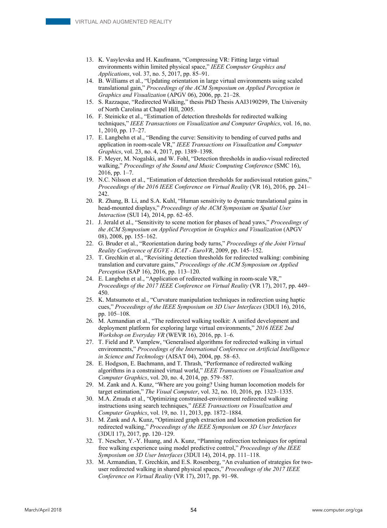- 13. K. Vasylevska and H. Kaufmann, "Compressing VR: Fitting large virtual environments within limited physical space," *IEEE Computer Graphics and Applications*, vol. 37, no. 5, 2017, pp. 85–91.
- 14. B. Williams et al., "Updating orientation in large virtual environments using scaled translational gain," *Proceedings of the ACM Symposium on Applied Perception in Graphics and Visualization* (APGV 06), 2006, pp. 21–28.
- 15. S. Razzaque, "Redirected Walking," thesis PhD Thesis AAI3190299, The University of North Carolina at Chapel Hill, 2005.
- 16. F. Steinicke et al., "Estimation of detection thresholds for redirected walking techniques," *IEEE Transactions on Visualization and Computer Graphics*, vol. 16, no. 1, 2010, pp. 17–27.
- 17. E. Langbehn et al., "Bending the curve: Sensitivity to bending of curved paths and application in room-scale VR," *IEEE Transactions on Visualization and Computer Graphics*, vol. 23, no. 4, 2017, pp. 1389–1398.
- 18. F. Meyer, M. Nogalski, and W. Fohl, "Detection thresholds in audio-visual redirected walking," *Proceedings of the Sound and Music Computing Conference* (SMC 16), 2016, pp. 1–7.
- 19. N.C. Nilsson et al., "Estimation of detection thresholds for audiovisual rotation gains," *Proceedings of the 2016 IEEE Conference on Virtual Reality* (VR 16), 2016, pp. 241– 242.
- 20. R. Zhang, B. Li, and S.A. Kuhl, "Human sensitivity to dynamic translational gains in head-mounted displays," *Proceedings of the ACM Symposium on Spatial User Interaction* (SUI 14), 2014, pp. 62–65.
- 21. J. Jerald et al., "Sensitivity to scene motion for phases of head yaws," *Proceedings of the ACM Symposium on Applied Perception in Graphics and Visualization* (APGV 08), 2008, pp. 155–162.
- 22. G. Bruder et al., "Reorientation during body turns," *Proceedings of the Joint Virtual Reality Conference of EGVE - ICAT - EuroVR*, 2009, pp. 145–152.
- 23. T. Grechkin et al., "Revisiting detection thresholds for redirected walking: combining translation and curvature gains," *Proceedings of the ACM Symposium on Applied Perception* (SAP 16), 2016, pp. 113–120.
- 24. E. Langbehn et al., "Application of redirected walking in room-scale VR," *Proceedings of the 2017 IEEE Conference on Virtual Reality* (VR 17), 2017, pp. 449– 450.
- 25. K. Matsumoto et al., "Curvature manipulation techniques in redirection using haptic cues," *Proceedings of the IEEE Symposium on 3D User Interfaces* (3DUI 16), 2016, pp. 105–108.
- 26. M. Azmandian et al., "The redirected walking toolkit: A unified development and deployment platform for exploring large virtual environments," *2016 IEEE 2nd Workshop on Everyday VR* (WEVR 16), 2016, pp. 1–6.
- 27. T. Field and P. Vamplew, "Generalised algorithms for redirected walking in virtual environments," *Proceedings of the International Conference on Artificial Intelligence in Science and Technology* (AISAT 04), 2004, pp. 58–63.
- 28. E. Hodgson, E. Bachmann, and T. Thrash, "Performance of redirected walking algorithms in a constrained virtual world," *IEEE Transactions on Visualization and Computer Graphics*, vol. 20, no. 4, 2014, pp. 579–587.
- 29. M. Zank and A. Kunz, "Where are you going? Using human locomotion models for target estimation," *The Visual Computer*, vol. 32, no. 10, 2016, pp. 1323–1335.
- 30. M.A. Zmuda et al., "Optimizing constrained-environment redirected walking instructions using search techniques," *IEEE Transactions on Visualization and Computer Graphics*, vol. 19, no. 11, 2013, pp. 1872–1884.
- 31. M. Zank and A. Kunz, "Optimized graph extraction and locomotion prediction for redirected walking," *Proceedings of the IEEE Symposium on 3D User Interfaces* (3DUI 17), 2017, pp. 120–129.
- 32. T. Nescher, Y.-Y. Huang, and A. Kunz, "Planning redirection techniques for optimal free walking experience using model predictive control," *Proceedings of the IEEE Symposium on 3D User Interfaces* (3DUI 14), 2014, pp. 111–118.
- 33. M. Azmandian, T. Grechkin, and E.S. Rosenberg, "An evaluation of strategies for twouser redirected walking in shared physical spaces," *Proceedings of the 2017 IEEE Conference on Virtual Reality* (VR 17), 2017, pp. 91–98.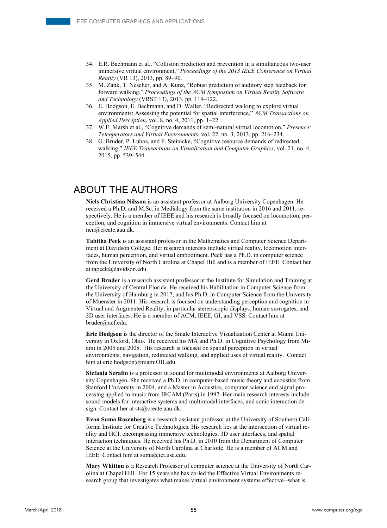- 34. E.R. Bachmann et al., "Collision prediction and prevention in a simultaneous two-user immersive virtual environment," *Proceedings of the 2013 IEEE Conference on Virtual Reality* (VR 13), 2013, pp. 89–90.
- 35. M. Zank, T. Nescher, and A. Kunz, "Robust prediction of auditory step feedback for forward walking," *Proceedings of the ACM Symposium on Virtual Reality Software and Technology* (VRST 13), 2013, pp. 119–122.
- 36. E. Hodgson, E. Bachmann, and D. Waller, "Redirected walking to explore virtual environments: Assessing the potential for spatial interference," *ACM Transactions on Applied Perception*, vol. 8, no. 4, 2011, pp. 1–22.
- 37. W.E. Marsh et al., "Cognitive demands of semi-natural virtual locomotion," *Presence: Teleoperators and Virtual Environments*, vol. 22, no. 3, 2013, pp. 216–234.
- 38. G. Bruder, P. Lubos, and F. Steinicke, "Cognitive resource demands of redirected walking," *IEEE Transactions on Visualization and Computer Graphics*, vol. 21, no. 4, 2015, pp. 539–544.

## ABOUT THE AUTHORS

**Niels Christian Nilsson** is an assistant professor at Aalborg University Copenhagen. He received a Ph.D. and M.Sc. in Medialogy from the same institution in 2016 and 2011, respectively. He is a member of IEEE and his research is broadly focused on locomotion, perception, and cognition in immersive virtual environments. Contact him at ncn@create.aau.dk.

**Tabitha Peck** is an assistant professor in the Mathematics and Computer Science Department at Davidson College. Her research interests include virtual reality, locomotion interfaces, human perception, and virtual embodiment. Peck has a Ph.D. in computer science from the University of North Carolina at Chapel Hill and is a member of IEEE. Contact her at tapeck@davidson.edu.

**Gerd Bruder** is a research assistant professor at the Institute for Simulation and Training at the University of Central Florida. He received his Habilitation in Computer Science from the University of Hamburg in 2017, and his Ph.D. in Computer Science from the University of Muenster in 2011. His research is focused on understanding perception and cognition in Virtual and Augmented Reality, in particular stereoscopic displays, human surrogates, and 3D user interfaces. He is a member of ACM, IEEE, GI, and VSS. Contact him at bruder@ucf.edu.

**Eric Hodgson** is the director of the Smale Interactive Visualization Center at Miami University in Oxford, Ohio. He received his MA and Ph.D. in Cognitive Psychology from Miami in 2005 and 2008. His research is focused on spatial perception in virtual environments, navigation, redirected walking, and applied uses of virtual reality. Contact him at eric.hodgson@miamiOH.edu.

**Stefania Serafin** is a professor in sound for multimodal environments at Aalborg University Copenhagen. She received a Ph.D. in computer-based music theory and acoustics from Stanford University in 2004, and a Master in Acoustics, computer science and signal processing applied to music from IRCAM (Paris) in 1997. Her main research interests include sound models for interactive systems and multimodal interfaces, and sonic interaction design. Contact her at sts@create.aau.dk.

**Evan Suma Rosenberg** is a research assistant professor at the University of Southern California Institute for Creative Technologies. His research lies at the intersection of virtual reality and HCI, encompassing immersive technologies, 3D user interfaces, and spatial interaction techniques. He received his Ph.D. in 2010 from the Department of Computer Science at the University of North Carolina at Charlotte. He is a member of ACM and IEEE. Contact him at suma@ict.usc.edu.

**Mary Whitton** is a Research Professor of computer science at the University of North Carolina at Chapel Hill. For 15 years she has co-led the Effective Virtual Environments research group that investigates what makes virtual environment systems effective--what is